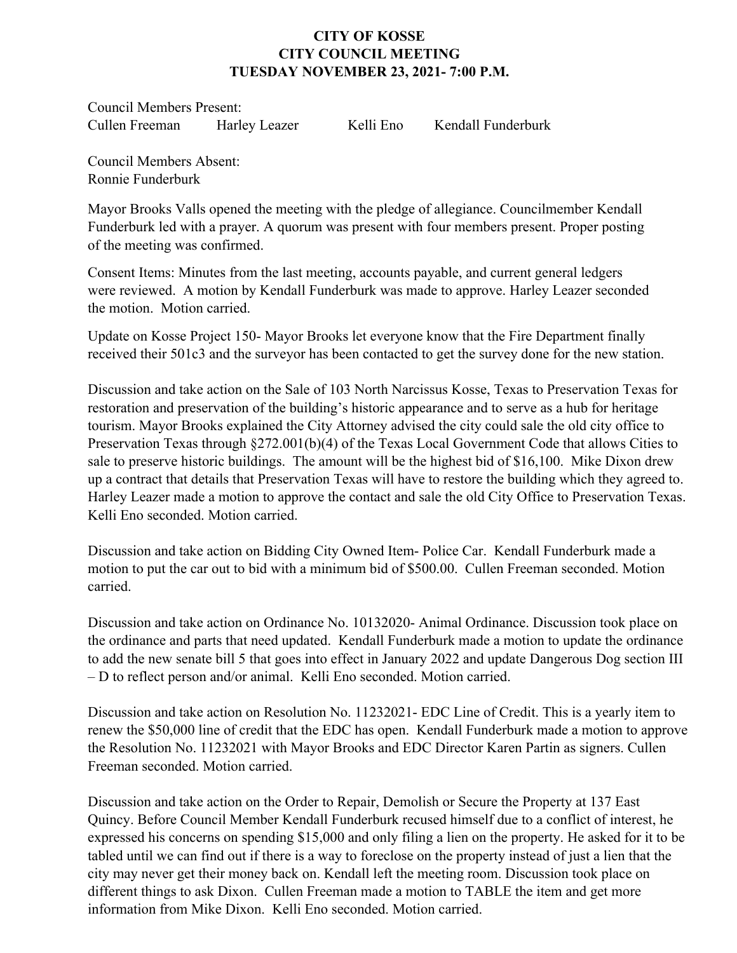## **CITY OF KOSSE CITY COUNCIL MEETING TUESDAY NOVEMBER 23, 2021- 7:00 P.M.**

Council Members Present: Cullen Freeman Harley Leazer Kelli Eno Kendall Funderburk

Council Members Absent: Ronnie Funderburk

Mayor Brooks Valls opened the meeting with the pledge of allegiance. Councilmember Kendall Funderburk led with a prayer. A quorum was present with four members present. Proper posting of the meeting was confirmed.

Consent Items: Minutes from the last meeting, accounts payable, and current general ledgers were reviewed. A motion by Kendall Funderburk was made to approve. Harley Leazer seconded the motion. Motion carried.

Update on Kosse Project 150- Mayor Brooks let everyone know that the Fire Department finally received their 501c3 and the surveyor has been contacted to get the survey done for the new station.

Discussion and take action on the Sale of 103 North Narcissus Kosse, Texas to Preservation Texas for restoration and preservation of the building's historic appearance and to serve as a hub for heritage tourism. Mayor Brooks explained the City Attorney advised the city could sale the old city office to Preservation Texas through §272.001(b)(4) of the Texas Local Government Code that allows Cities to sale to preserve historic buildings. The amount will be the highest bid of \$16,100. Mike Dixon drew up a contract that details that Preservation Texas will have to restore the building which they agreed to. Harley Leazer made a motion to approve the contact and sale the old City Office to Preservation Texas. Kelli Eno seconded. Motion carried.

Discussion and take action on Bidding City Owned Item- Police Car. Kendall Funderburk made a motion to put the car out to bid with a minimum bid of \$500.00. Cullen Freeman seconded. Motion carried.

Discussion and take action on Ordinance No. 10132020- Animal Ordinance. Discussion took place on the ordinance and parts that need updated. Kendall Funderburk made a motion to update the ordinance to add the new senate bill 5 that goes into effect in January 2022 and update Dangerous Dog section III – D to reflect person and/or animal. Kelli Eno seconded. Motion carried.

Discussion and take action on Resolution No. 11232021- EDC Line of Credit. This is a yearly item to renew the \$50,000 line of credit that the EDC has open. Kendall Funderburk made a motion to approve the Resolution No. 11232021 with Mayor Brooks and EDC Director Karen Partin as signers. Cullen Freeman seconded. Motion carried.

Discussion and take action on the Order to Repair, Demolish or Secure the Property at 137 East Quincy. Before Council Member Kendall Funderburk recused himself due to a conflict of interest, he expressed his concerns on spending \$15,000 and only filing a lien on the property. He asked for it to be tabled until we can find out if there is a way to foreclose on the property instead of just a lien that the city may never get their money back on. Kendall left the meeting room. Discussion took place on different things to ask Dixon. Cullen Freeman made a motion to TABLE the item and get more information from Mike Dixon. Kelli Eno seconded. Motion carried.